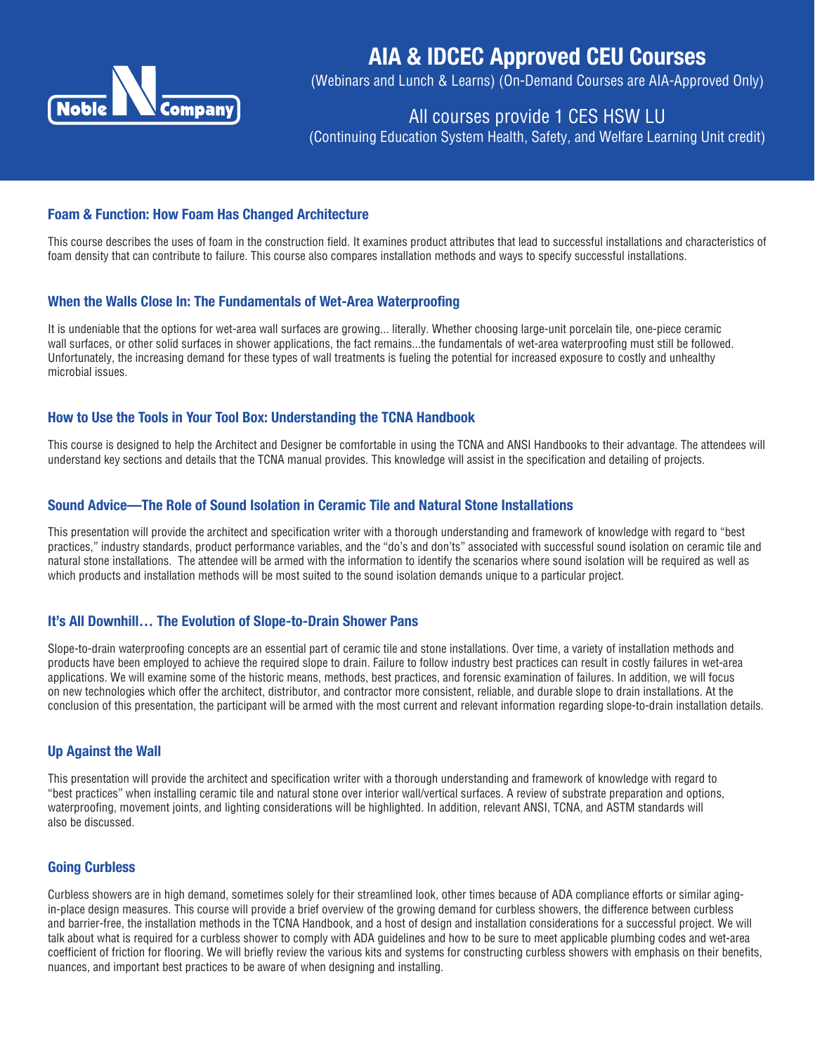

# AIA & IDCEC Approved CEU Courses

(Webinars and Lunch & Learns) (On-Demand Courses are AIA-Approved Only)

# All courses provide 1 CES HSW LU

(Continuing Education System Health, Safety, and Welfare Learning Unit credit)

#### Foam & Function: How Foam Has Changed Architecture

This course describes the uses of foam in the construction field. It examines product attributes that lead to successful installations and characteristics of foam density that can contribute to failure. This course also compares installation methods and ways to specify successful installations.

#### When the Walls Close In: The Fundamentals of Wet-Area Waterproofing

It is undeniable that the options for wet-area wall surfaces are growing... literally. Whether choosing large-unit porcelain tile, one-piece ceramic wall surfaces, or other solid surfaces in shower applications, the fact remains...the fundamentals of wet-area waterproofing must still be followed. Unfortunately, the increasing demand for these types of wall treatments is fueling the potential for increased exposure to costly and unhealthy microbial issues.

#### How to Use the Tools in Your Tool Box: Understanding the TCNA Handbook

This course is designed to help the Architect and Designer be comfortable in using the TCNA and ANSI Handbooks to their advantage. The attendees will understand key sections and details that the TCNA manual provides. This knowledge will assist in the specification and detailing of projects.

#### Sound Advice—The Role of Sound Isolation in Ceramic Tile and Natural Stone Installations

This presentation will provide the architect and specification writer with a thorough understanding and framework of knowledge with regard to "best practices," industry standards, product performance variables, and the "do's and don'ts" associated with successful sound isolation on ceramic tile and natural stone installations. The attendee will be armed with the information to identify the scenarios where sound isolation will be required as well as which products and installation methods will be most suited to the sound isolation demands unique to a particular project.

#### It's All Downhill… The Evolution of Slope-to-Drain Shower Pans

Slope-to-drain waterproofing concepts are an essential part of ceramic tile and stone installations. Over time, a variety of installation methods and products have been employed to achieve the required slope to drain. Failure to follow industry best practices can result in costly failures in wet-area applications. We will examine some of the historic means, methods, best practices, and forensic examination of failures. In addition, we will focus on new technologies which offer the architect, distributor, and contractor more consistent, reliable, and durable slope to drain installations. At the conclusion of this presentation, the participant will be armed with the most current and relevant information regarding slope-to-drain installation details.

#### Up Against the Wall

This presentation will provide the architect and specification writer with a thorough understanding and framework of knowledge with regard to "best practices" when installing ceramic tile and natural stone over interior wall/vertical surfaces. A review of substrate preparation and options, waterproofing, movement joints, and lighting considerations will be highlighted. In addition, relevant ANSI, TCNA, and ASTM standards will also be discussed.

#### Going Curbless

Curbless showers are in high demand, sometimes solely for their streamlined look, other times because of ADA compliance efforts or similar agingin-place design measures. This course will provide a brief overview of the growing demand for curbless showers, the difference between curbless and barrier-free, the installation methods in the TCNA Handbook, and a host of design and installation considerations for a successful project. We will talk about what is required for a curbless shower to comply with ADA guidelines and how to be sure to meet applicable plumbing codes and wet-area coefficient of friction for flooring. We will briefly review the various kits and systems for constructing curbless showers with emphasis on their benefits, nuances, and important best practices to be aware of when designing and installing.